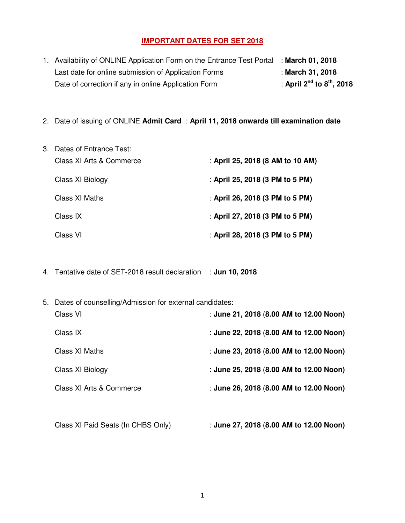# **IMPORTANT DATES FOR SET 2018**

| 1. Availability of ONLINE Application Form on the Entrance Test Portal : March 01, 2018 |                                     |
|-----------------------------------------------------------------------------------------|-------------------------------------|
| Last date for online submission of Application Forms                                    | : March 31, 2018                    |
| Date of correction if any in online Application Form                                    | : April $2^{nd}$ to $8^{th}$ , 2018 |

2. Date of issuing of ONLINE **Admit Card** : **April 11, 2018 onwards till examination date**

| 3. Dates of Entrance Test: |                                  |
|----------------------------|----------------------------------|
| Class XI Arts & Commerce   | : April 25, 2018 (8 AM to 10 AM) |
| Class XI Biology           | : April 25, 2018 (3 PM to 5 PM)  |
| Class XI Maths             | : April 26, 2018 (3 PM to 5 PM)  |
| Class IX                   | : April 27, 2018 (3 PM to 5 PM)  |
| Class VI                   | : April 28, 2018 (3 PM to 5 PM)  |

4. Tentative date of SET-2018 result declaration : **Jun 10, 2018**

| : June 21, 2018 (8.00 AM to 12.00 Noon)<br>Class VI<br>: June 22, 2018 (8.00 AM to 12.00 Noon)<br>Class IX<br>: June 23, 2018 (8.00 AM to 12.00 Noon)<br>Class XI Maths<br>: June 25, 2018 (8.00 AM to 12.00 Noon)<br>Class XI Biology<br>: June 26, 2018 (8.00 AM to 12.00 Noon)<br>Class XI Arts & Commerce |  |
|---------------------------------------------------------------------------------------------------------------------------------------------------------------------------------------------------------------------------------------------------------------------------------------------------------------|--|
|                                                                                                                                                                                                                                                                                                               |  |
|                                                                                                                                                                                                                                                                                                               |  |
|                                                                                                                                                                                                                                                                                                               |  |
|                                                                                                                                                                                                                                                                                                               |  |
|                                                                                                                                                                                                                                                                                                               |  |

Class XI Paid Seats (In CHBS Only) : **June 27, 2018** (**8.00 AM to 12.00 Noon)**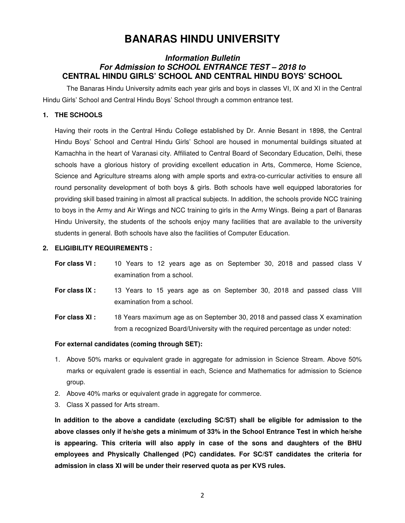# **BANARAS HINDU UNIVERSITY**

### *Information Bulletin For Admission to SCHOOL ENTRANCE TEST – 2018 to*  **CENTRAL HINDU GIRLS' SCHOOL AND CENTRAL HINDU BOYS' SCHOOL**

 The Banaras Hindu University admits each year girls and boys in classes VI, IX and XI in the Central Hindu Girls' School and Central Hindu Boys' School through a common entrance test.

### **1. THE SCHOOLS**

Having their roots in the Central Hindu College established by Dr. Annie Besant in 1898, the Central Hindu Boys' School and Central Hindu Girls' School are housed in monumental buildings situated at Kamachha in the heart of Varanasi city. Affiliated to Central Board of Secondary Education, Delhi, these schools have a glorious history of providing excellent education in Arts, Commerce, Home Science, Science and Agriculture streams along with ample sports and extra-co-curricular activities to ensure all round personality development of both boys & girls. Both schools have well equipped laboratories for providing skill based training in almost all practical subjects. In addition, the schools provide NCC training to boys in the Army and Air Wings and NCC training to girls in the Army Wings. Being a part of Banaras Hindu University, the students of the schools enjoy many facilities that are available to the university students in general. Both schools have also the facilities of Computer Education.

#### **2. ELIGIBILITY REQUIREMENTS :**

- **For class VI :** 10 Years to 12 years age as on September 30, 2018 and passed class V examination from a school.
- **For class IX :** 13 Years to 15 years age as on September 30, 2018 and passed class VIII examination from a school.
- **For class XI :** 18 Years maximum age as on September 30, 2018 and passed class X examination from a recognized Board/University with the required percentage as under noted:

#### **For external candidates (coming through SET):**

- 1. Above 50% marks or equivalent grade in aggregate for admission in Science Stream. Above 50% marks or equivalent grade is essential in each, Science and Mathematics for admission to Science group.
- 2. Above 40% marks or equivalent grade in aggregate for commerce.
- 3. Class X passed for Arts stream.

**In addition to the above a candidate (excluding SC/ST) shall be eligible for admission to the above classes only if he/she gets a minimum of 33% in the School Entrance Test in which he/she is appearing. This criteria will also apply in case of the sons and daughters of the BHU employees and Physically Challenged (PC) candidates. For SC/ST candidates the criteria for admission in class XI will be under their reserved quota as per KVS rules.**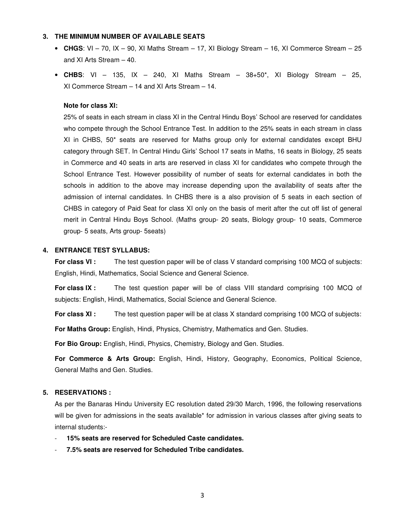#### **3. THE MINIMUM NUMBER OF AVAILABLE SEATS**

- **CHGS**: VI 70, IX 90, XI Maths Stream 17, XI Biology Stream 16, XI Commerce Stream 25 and XI Arts Stream – 40.
- **CHBS**: VI 135, IX 240, XI Maths Stream 38+50\*, XI Biology Stream 25, XI Commerce Stream – 14 and XI Arts Stream – 14.

#### **Note for class XI:**

25% of seats in each stream in class XI in the Central Hindu Boys' School are reserved for candidates who compete through the School Entrance Test. In addition to the 25% seats in each stream in class XI in CHBS, 50\* seats are reserved for Maths group only for external candidates except BHU category through SET. In Central Hindu Girls' School 17 seats in Maths, 16 seats in Biology, 25 seats in Commerce and 40 seats in arts are reserved in class XI for candidates who compete through the School Entrance Test. However possibility of number of seats for external candidates in both the schools in addition to the above may increase depending upon the availability of seats after the admission of internal candidates. In CHBS there is a also provision of 5 seats in each section of CHBS in category of Paid Seat for class XI only on the basis of merit after the cut off list of general merit in Central Hindu Boys School. (Maths group- 20 seats, Biology group- 10 seats, Commerce group- 5 seats, Arts group- 5seats)

#### **4. ENTRANCE TEST SYLLABUS:**

**For class VI :** The test question paper will be of class V standard comprising 100 MCQ of subjects: English, Hindi, Mathematics, Social Science and General Science.

**For class IX :** The test question paper will be of class VIII standard comprising 100 MCQ of subjects: English, Hindi, Mathematics, Social Science and General Science.

**For class XI :** The test question paper will be at class X standard comprising 100 MCQ of subjects:

**For Maths Group:** English, Hindi, Physics, Chemistry, Mathematics and Gen. Studies.

**For Bio Group:** English, Hindi, Physics, Chemistry, Biology and Gen. Studies.

**For Commerce & Arts Group:** English, Hindi, History, Geography, Economics, Political Science, General Maths and Gen. Studies.

#### **5. RESERVATIONS :**

As per the Banaras Hindu University EC resolution dated 29/30 March, 1996, the following reservations will be given for admissions in the seats available<sup>\*</sup> for admission in various classes after giving seats to internal students:-

- **15% seats are reserved for Scheduled Caste candidates.**
- **7.5% seats are reserved for Scheduled Tribe candidates.**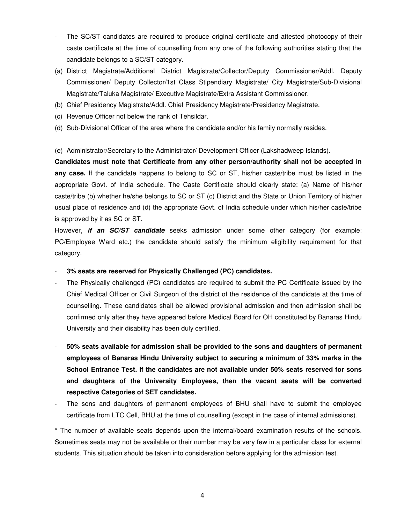- The SC/ST candidates are required to produce original certificate and attested photocopy of their caste certificate at the time of counselling from any one of the following authorities stating that the candidate belongs to a SC/ST category.
- (a) District Magistrate/Additional District Magistrate/Collector/Deputy Commissioner/Addl. Deputy Commissioner/ Deputy Collector/1st Class Stipendiary Magistrate/ City Magistrate/Sub-Divisional Magistrate/Taluka Magistrate/ Executive Magistrate/Extra Assistant Commissioner.
- (b) Chief Presidency Magistrate/Addl. Chief Presidency Magistrate/Presidency Magistrate.
- (c) Revenue Officer not below the rank of Tehsildar.
- (d) Sub-Divisional Officer of the area where the candidate and/or his family normally resides.
- (e) Administrator/Secretary to the Administrator/ Development Officer (Lakshadweep Islands).

**Candidates must note that Certificate from any other person/authority shall not be accepted in any case.** If the candidate happens to belong to SC or ST, his/her caste/tribe must be listed in the appropriate Govt. of India schedule. The Caste Certificate should clearly state: (a) Name of his/her caste/tribe (b) whether he/she belongs to SC or ST (c) District and the State or Union Territory of his/her usual place of residence and (d) the appropriate Govt. of India schedule under which his/her caste/tribe is approved by it as SC or ST.

However, *if an SC/ST candidate* seeks admission under some other category (for example: PC/Employee Ward etc.) the candidate should satisfy the minimum eligibility requirement for that category.

- **3% seats are reserved for Physically Challenged (PC) candidates.**
- The Physically challenged (PC) candidates are required to submit the PC Certificate issued by the Chief Medical Officer or Civil Surgeon of the district of the residence of the candidate at the time of counselling. These candidates shall be allowed provisional admission and then admission shall be confirmed only after they have appeared before Medical Board for OH constituted by Banaras Hindu University and their disability has been duly certified.
- **50% seats available for admission shall be provided to the sons and daughters of permanent employees of Banaras Hindu University subject to securing a minimum of 33% marks in the School Entrance Test. If the candidates are not available under 50% seats reserved for sons and daughters of the University Employees, then the vacant seats will be converted respective Categories of SET candidates.**
- The sons and daughters of permanent employees of BHU shall have to submit the employee certificate from LTC Cell, BHU at the time of counselling (except in the case of internal admissions).

\* The number of available seats depends upon the internal/board examination results of the schools. Sometimes seats may not be available or their number may be very few in a particular class for external students. This situation should be taken into consideration before applying for the admission test.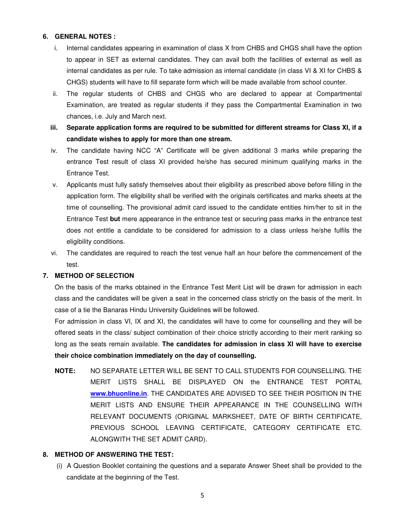#### **6. GENERAL NOTES :**

- i. Internal candidates appearing in examination of class X from CHBS and CHGS shall have the option to appear in SET as external candidates. They can avail both the facilities of external as well as internal candidates as per rule. To take admission as internal candidate (in class VI & XI for CHBS & CHGS) students will have to fill separate form which will be made available from school counter.
- ii. The regular students of CHBS and CHGS who are declared to appear at Compartmental Examination, are treated as regular students if they pass the Compartmental Examination in two chances, i.e. July and March next.
- **iii. Separate application forms are required to be submitted for different streams for Class XI, if a candidate wishes to apply for more than one stream.**
- iv. The candidate having NCC "A" Certificate will be given additional 3 marks while preparing the entrance Test result of class XI provided he/she has secured minimum qualifying marks in the Entrance Test.
- v. Applicants must fully satisfy themselves about their eligibility as prescribed above before filling in the application form. The eligibility shall be verified with the originals certificates and marks sheets at the time of counselling. The provisional admit card issued to the candidate entities him/her to sit in the Entrance Test **but** mere appearance in the entrance test or securing pass marks in the entrance test does not entitle a candidate to be considered for admission to a class unless he/she fulfils the eligibility conditions.
- vi. The candidates are required to reach the test venue half an hour before the commencement of the test.

#### **7. METHOD OF SELECTION**

On the basis of the marks obtained in the Entrance Test Merit List will be drawn for admission in each class and the candidates will be given a seat in the concerned class strictly on the basis of the merit. In case of a tie the Banaras Hindu University Guidelines will be followed.

For admission in class VI, IX and XI, the candidates will have to come for counselling and they will be offered seats in the class/ subject combination of their choice strictly according to their merit ranking so long as the seats remain available. **The candidates for admission in class XI will have to exercise their choice combination immediately on the day of counselling.**

**NOTE:** NO SEPARATE LETTER WILL BE SENT TO CALL STUDENTS FOR COUNSELLING. THE MERIT LISTS SHALL BE DISPLAYED ON the ENTRANCE TEST PORTAL **www.bhuonline.in**. THE CANDIDATES ARE ADVISED TO SEE THEIR POSITION IN THE MERIT LISTS AND ENSURE THEIR APPEARANCE IN THE COUNSELLING WITH RELEVANT DOCUMENTS (ORIGINAL MARKSHEET, DATE OF BIRTH CERTIFICATE, PREVIOUS SCHOOL LEAVING CERTIFICATE, CATEGORY CERTIFICATE ETC. ALONGWITH THE SET ADMIT CARD).

#### **8. METHOD OF ANSWERING THE TEST:**

 (i) A Question Booklet containing the questions and a separate Answer Sheet shall be provided to the candidate at the beginning of the Test.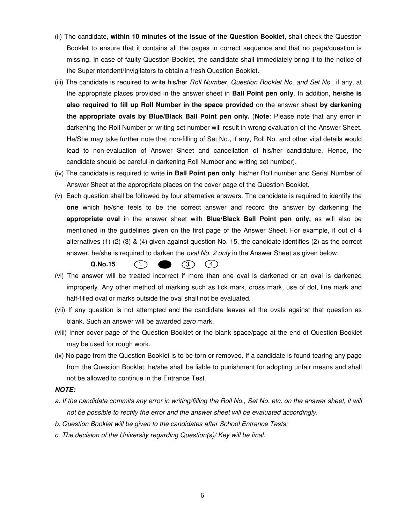- (ii) The candidate, **within 10 minutes of the issue of the Question Booklet**, shall check the Question Booklet to ensure that it contains all the pages in correct sequence and that no page/question is missing. In case of faulty Question Booklet, the candidate shall immediately bring it to the notice of the Superintendent/Invigilators to obtain a fresh Question Booklet.
- (iii) The candidate is required to write his/her *Roll Number, Question Booklet No. and Set No.*, if any, at the appropriate places provided in the answer sheet in **Ball Point pen only**. In addition, **he/she is also required to fill up Roll Number in the space provided** on the answer sheet **by darkening the appropriate ovals by Blue/Black Ball Point pen only.** (**Note**: Please note that any error in darkening the Roll Number or writing set number will result in wrong evaluation of the Answer Sheet. He/She may take further note that non-filling of Set No., if any, Roll No. and other vital details would lead to non-evaluation of Answer Sheet and cancellation of his/her candidature. Hence, the candidate should be careful in darkening Roll Number and writing set number).
- (iv) The candidate is required to write **in Ball Point pen only**, his/her Roll number and Serial Number of Answer Sheet at the appropriate places on the cover page of the Question Booklet.
- (v) Each question shall be followed by four alternative answers. The candidate is required to identify the **one** which he/she feels to be the correct answer and record the answer by darkening the **appropriate oval** in the answer sheet with **Blue/Black Ball Point pen only,** as will also be mentioned in the guidelines given on the first page of the Answer Sheet. For example, if out of 4 alternatives (1) (2) (3) & (4) given against question No. 15, the candidate identifies (2) as the correct answer, he/she is required to darken the *oval No. 2 only* in the Answer Sheet as given below:

#### $(1)$  (3)  $(4)$ **Q.No.15**

- (vi) The answer will be treated incorrect if more than one oval is darkened or an oval is darkened improperly. Any other method of marking such as tick mark, cross mark, use of dot, line mark and half-filled oval or marks outside the oval shall not be evaluated.
- (vii) If any question is not attempted and the candidate leaves all the ovals against that question as blank. Such an answer will be awarded zero mark.
- (viii) Inner cover page of the Question Booklet or the blank space/page at the end of Question Booklet may be used for rough work.
- (ix) No page from the Question Booklet is to be torn or removed. If a candidate is found tearing any page from the Question Booklet, he/she shall be liable to punishment for adopting unfair means and shall not be allowed to continue in the Entrance Test.

#### *NOTE:*

- a. If the candidate commits any error in writing/filling the Roll No., Set No. etc. on the answer sheet, it will not be possible to rectify the error and the answer sheet will be evaluated accordingly.
- b. Question Booklet will be given to the candidates after School Entrance Tests;
- c. The decision of the University regarding Question(s)/ Key will be final.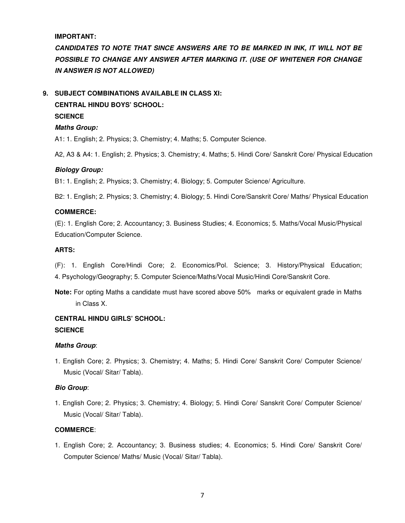**IMPORTANT:** 

*CANDIDATES TO NOTE THAT SINCE ANSWERS ARE TO BE MARKED IN INK, IT WILL NOT BE*  POSSIBLE TO CHANGE ANY ANSWER AFTER MARKING IT. (USE OF WHITENER FOR CHANGE *IN ANSWER IS NOT ALLOWED)* 

## **9. SUBJECT COMBINATIONS AVAILABLE IN CLASS XI:**

### **CENTRAL HINDU BOYS' SCHOOL: SCIENCE**

# *Maths Group:*

A1: 1. English; 2. Physics; 3. Chemistry; 4. Maths; 5. Computer Science.

A2, A3 & A4: 1. English; 2. Physics; 3. Chemistry; 4. Maths; 5. Hindi Core/ Sanskrit Core/ Physical Education

#### *Biology Group:*

B1: 1. English; 2. Physics; 3. Chemistry; 4. Biology; 5. Computer Science/ Agriculture.

B2: 1. English; 2. Physics; 3. Chemistry; 4. Biology; 5. Hindi Core/Sanskrit Core/ Maths/ Physical Education

#### **COMMERCE:**

(E): 1. English Core; 2. Accountancy; 3. Business Studies; 4. Economics; 5. Maths/Vocal Music/Physical Education/Computer Science.

#### **ARTS:**

(F): 1. English Core/Hindi Core; 2. Economics/Pol. Science; 3. History/Physical Education; 4. Psychology/Geography; 5. Computer Science/Maths/Vocal Music/Hindi Core/Sanskrit Core.

**Note:** For opting Maths a candidate must have scored above 50% marks or equivalent grade in Maths in Class X.

# **CENTRAL HINDU GIRLS' SCHOOL: SCIENCE**

#### *Maths Group*:

1. English Core; 2. Physics; 3. Chemistry; 4. Maths; 5. Hindi Core/ Sanskrit Core/ Computer Science/ Music (Vocal/ Sitar/ Tabla).

#### *Bio Group*:

1. English Core; 2. Physics; 3. Chemistry; 4. Biology; 5. Hindi Core/ Sanskrit Core/ Computer Science/ Music (Vocal/ Sitar/ Tabla).

#### **COMMERCE**:

1. English Core; 2. Accountancy; 3. Business studies; 4. Economics; 5. Hindi Core/ Sanskrit Core/ Computer Science/ Maths/ Music (Vocal/ Sitar/ Tabla).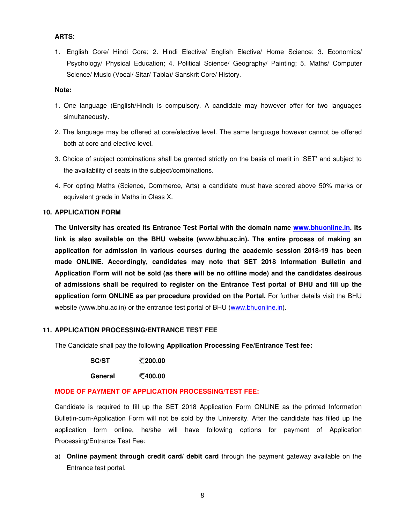#### **ARTS**:

1. English Core/ Hindi Core; 2. Hindi Elective/ English Elective/ Home Science; 3. Economics/ Psychology/ Physical Education; 4. Political Science/ Geography/ Painting; 5. Maths/ Computer Science/ Music (Vocal/ Sitar/ Tabla)/ Sanskrit Core/ History.

#### **Note:**

- 1. One language (English/Hindi) is compulsory. A candidate may however offer for two languages simultaneously.
- 2. The language may be offered at core/elective level. The same language however cannot be offered both at core and elective level.
- 3. Choice of subject combinations shall be granted strictly on the basis of merit in 'SET' and subject to the availability of seats in the subject/combinations.
- 4. For opting Maths (Science, Commerce, Arts) a candidate must have scored above 50% marks or equivalent grade in Maths in Class X.

#### **10. APPLICATION FORM**

**The University has created its Entrance Test Portal with the domain name www.bhuonline.in. Its link is also available on the BHU website (www.bhu.ac.in). The entire process of making an application for admission in various courses during the academic session 2018-19 has been made ONLINE. Accordingly, candidates may note that SET 2018 Information Bulletin and Application Form will not be sold (as there will be no offline mode) and the candidates desirous of admissions shall be required to register on the Entrance Test portal of BHU and fill up the application form ONLINE as per procedure provided on the Portal.** For further details visit the BHU website (www.bhu.ac.in) or the entrance test portal of BHU (www.bhuonline.in).

#### **11. APPLICATION PROCESSING/ENTRANCE TEST FEE**

The Candidate shall pay the following **Application Processing Fee/Entrance Test fee:** 

**SC/ST** ₹200.00

**General** ₹400.00

#### **MODE OF PAYMENT OF APPLICATION PROCESSING/TEST FEE:**

Candidate is required to fill up the SET 2018 Application Form ONLINE as the printed Information Bulletin-cum-Application Form will not be sold by the University. After the candidate has filled up the application form online, he/she will have following options for payment of Application Processing/Entrance Test Fee:

a) **Online payment through credit card/ debit card** through the payment gateway available on the Entrance test portal.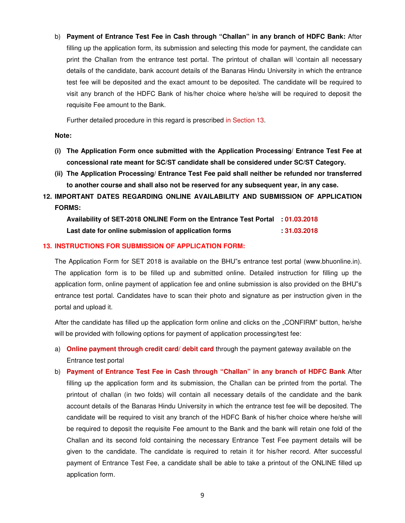b) **Payment of Entrance Test Fee in Cash through "Challan" in any branch of HDFC Bank:** After filling up the application form, its submission and selecting this mode for payment, the candidate can print the Challan from the entrance test portal. The printout of challan will \contain all necessary details of the candidate, bank account details of the Banaras Hindu University in which the entrance test fee will be deposited and the exact amount to be deposited. The candidate will be required to visit any branch of the HDFC Bank of his/her choice where he/she will be required to deposit the requisite Fee amount to the Bank.

Further detailed procedure in this regard is prescribed in Section 13.

**Note:** 

- **(i) The Application Form once submitted with the Application Processing/ Entrance Test Fee at concessional rate meant for SC/ST candidate shall be considered under SC/ST Category.**
- **(ii) The Application Processing/ Entrance Test Fee paid shall neither be refunded nor transferred to another course and shall also not be reserved for any subsequent year, in any case.**
- **12. IMPORTANT DATES REGARDING ONLINE AVAILABILITY AND SUBMISSION OF APPLICATION FORMS:**

**Availability of SET-2018 ONLINE Form on the Entrance Test Portal : 01.03.2018 Last date for online submission of application forms : 31.03.2018** 

#### **13. INSTRUCTIONS FOR SUBMISSION OF APPLICATION FORM:**

The Application Form for SET 2018 is available on the BHU"s entrance test portal (www.bhuonline.in). The application form is to be filled up and submitted online. Detailed instruction for filling up the application form, online payment of application fee and online submission is also provided on the BHU"s entrance test portal. Candidates have to scan their photo and signature as per instruction given in the portal and upload it.

After the candidate has filled up the application form online and clicks on the "CONFIRM" button, he/she will be provided with following options for payment of application processing/test fee:

- a) **Online payment through credit card/ debit card** through the payment gateway available on the Entrance test portal
- b) **Payment of Entrance Test Fee in Cash through "Challan" in any branch of HDFC Bank** After filling up the application form and its submission, the Challan can be printed from the portal. The printout of challan (in two folds) will contain all necessary details of the candidate and the bank account details of the Banaras Hindu University in which the entrance test fee will be deposited. The candidate will be required to visit any branch of the HDFC Bank of his/her choice where he/she will be required to deposit the requisite Fee amount to the Bank and the bank will retain one fold of the Challan and its second fold containing the necessary Entrance Test Fee payment details will be given to the candidate. The candidate is required to retain it for his/her record. After successful payment of Entrance Test Fee, a candidate shall be able to take a printout of the ONLINE filled up application form.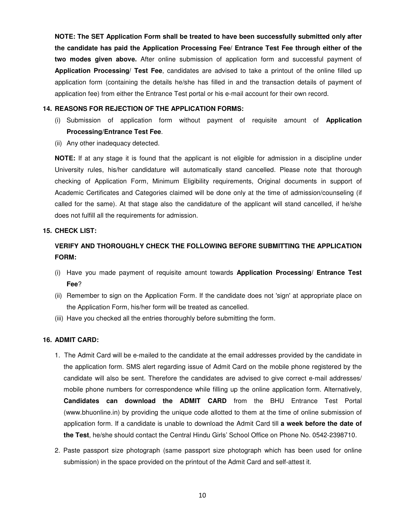**NOTE: The SET Application Form shall be treated to have been successfully submitted only after the candidate has paid the Application Processing Fee/ Entrance Test Fee through either of the two modes given above.** After online submission of application form and successful payment of **Application Processing/ Test Fee**, candidates are advised to take a printout of the online filled up application form (containing the details he/she has filled in and the transaction details of payment of application fee) from either the Entrance Test portal or his e-mail account for their own record.

#### **14. REASONS FOR REJECTION OF THE APPLICATION FORMS:**

- (i) Submission of application form without payment of requisite amount of **Application Processing/Entrance Test Fee**.
- (ii) Any other inadequacy detected.

**NOTE:** If at any stage it is found that the applicant is not eligible for admission in a discipline under University rules, his/her candidature will automatically stand cancelled. Please note that thorough checking of Application Form, Minimum Eligibility requirements, Original documents in support of Academic Certificates and Categories claimed will be done only at the time of admission/counseling (if called for the same). At that stage also the candidature of the applicant will stand cancelled, if he/she does not fulfill all the requirements for admission.

#### **15. CHECK LIST:**

# **VERIFY AND THOROUGHLY CHECK THE FOLLOWING BEFORE SUBMITTING THE APPLICATION FORM:**

- (i) Have you made payment of requisite amount towards **Application Processing/ Entrance Test Fee**?
- (ii) Remember to sign on the Application Form. If the candidate does not 'sign' at appropriate place on the Application Form, his/her form will be treated as cancelled.
- (iii) Have you checked all the entries thoroughly before submitting the form.

#### **16. ADMIT CARD:**

- 1. The Admit Card will be e-mailed to the candidate at the email addresses provided by the candidate in the application form. SMS alert regarding issue of Admit Card on the mobile phone registered by the candidate will also be sent. Therefore the candidates are advised to give correct e-mail addresses/ mobile phone numbers for correspondence while filling up the online application form. Alternatively, **Candidates can download the ADMIT CARD** from the BHU Entrance Test Portal (www.bhuonline.in) by providing the unique code allotted to them at the time of online submission of application form. If a candidate is unable to download the Admit Card till **a week before the date of the Test**, he/she should contact the Central Hindu Girls' School Office on Phone No. 0542-2398710.
- 2. Paste passport size photograph (same passport size photograph which has been used for online submission) in the space provided on the printout of the Admit Card and self-attest it.